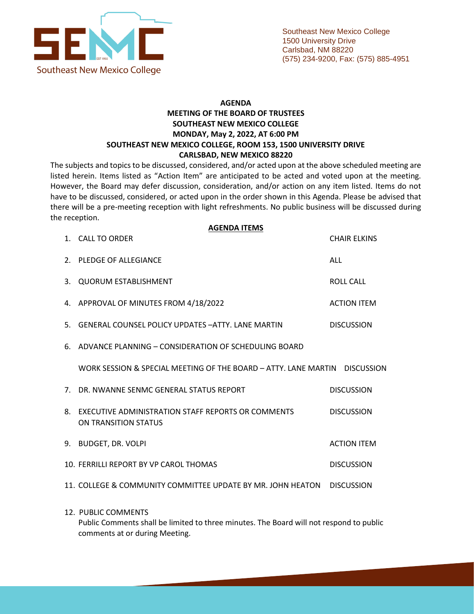

## **AGENDA MEETING OF THE BOARD OF TRUSTEES SOUTHEAST NEW MEXICO COLLEGE MONDAY, May 2, 2022, AT 6:00 PM SOUTHEAST NEW MEXICO COLLEGE, ROOM 153, 1500 UNIVERSITY DRIVE CARLSBAD, NEW MEXICO 88220**

The subjects and topics to be discussed, considered, and/or acted upon at the above scheduled meeting are listed herein. Items listed as "Action Item" are anticipated to be acted and voted upon at the meeting. However, the Board may defer discussion, consideration, and/or action on any item listed. Items do not have to be discussed, considered, or acted upon in the order shown in this Agenda. Please be advised that there will be a pre-meeting reception with light refreshments. No public business will be discussed during the reception.

|                | <b>AGENDA ITEMS</b><br>1. CALL TO ORDER                                    |                    | <b>CHAIR ELKINS</b> |
|----------------|----------------------------------------------------------------------------|--------------------|---------------------|
| 2.             | <b>PLEDGE OF ALLEGIANCE</b>                                                | ALL                |                     |
| 3.             | <b>QUORUM ESTABLISHMENT</b>                                                | <b>ROLL CALL</b>   |                     |
|                | 4. APPROVAL OF MINUTES FROM 4/18/2022                                      | <b>ACTION ITEM</b> |                     |
| 5.             | <b>GENERAL COUNSEL POLICY UPDATES - ATTY, LANE MARTIN</b>                  | <b>DISCUSSION</b>  |                     |
| 6.             | ADVANCE PLANNING - CONSIDERATION OF SCHEDULING BOARD                       |                    |                     |
|                | WORK SESSION & SPECIAL MEETING OF THE BOARD - ATTY, LANE MARTIN DISCUSSION |                    |                     |
| 7 <sup>1</sup> | DR. NWANNE SENMC GENERAL STATUS REPORT                                     |                    | <b>DISCUSSION</b>   |
| 8.             | EXECUTIVE ADMINISTRATION STAFF REPORTS OR COMMENTS<br>ON TRANSITION STATUS | <b>DISCUSSION</b>  |                     |
| 9.             | <b>BUDGET, DR. VOLPI</b>                                                   |                    | <b>ACTION ITEM</b>  |
|                | 10. FERRILLI REPORT BY VP CAROL THOMAS                                     |                    | <b>DISCUSSION</b>   |
|                | 11. COLLEGE & COMMUNITY COMMITTEE UPDATE BY MR. JOHN HEATON                |                    | <b>DISCUSSION</b>   |
|                | 12. PUBLIC COMMENTS                                                        |                    |                     |

Public Comments shall be limited to three minutes. The Board will not respond to public comments at or during Meeting.